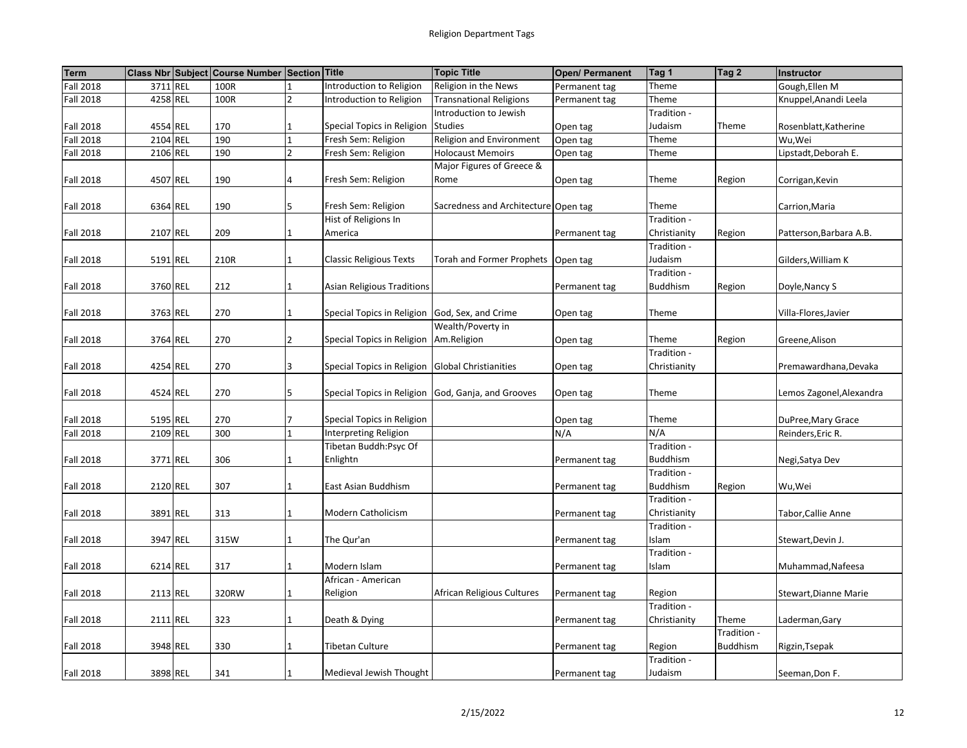| <b>Term</b>      |          | Class Nbr Subject Course Number Section Title |                |                                                    | <b>Topic Title</b>                   | <b>Open/ Permanent</b> | Tag 1           | Tag 2           | Instructor               |
|------------------|----------|-----------------------------------------------|----------------|----------------------------------------------------|--------------------------------------|------------------------|-----------------|-----------------|--------------------------|
| <b>Fall 2018</b> | 3711 REL | 100R                                          |                | Introduction to Religion                           | Religion in the News                 | Permanent tag          | Theme           |                 | Gough, Ellen M           |
| <b>Fall 2018</b> | 4258 REL | 100R                                          | $\overline{2}$ | Introduction to Religion                           | <b>Transnational Religions</b>       | Permanent tag          | Theme           |                 | Knuppel, Anandi Leela    |
|                  |          |                                               |                |                                                    | Introduction to Jewish               |                        | Tradition -     |                 |                          |
| <b>Fall 2018</b> | 4554 REL | 170                                           |                | Special Topics in Religion                         | <b>Studies</b>                       | Open tag               | Judaism         | Theme           | Rosenblatt, Katherine    |
| <b>Fall 2018</b> | 2104 REL | 190                                           | $\overline{1}$ | Fresh Sem: Religion                                | Religion and Environment             | Open tag               | Theme           |                 | Wu,Wei                   |
| <b>Fall 2018</b> | 2106 REL | 190                                           | $\overline{2}$ | Fresh Sem: Religion                                | <b>Holocaust Memoirs</b>             | Open tag               | Theme           |                 | Lipstadt, Deborah E.     |
|                  |          |                                               |                |                                                    | Major Figures of Greece &            |                        |                 |                 |                          |
| <b>Fall 2018</b> | 4507 REL | 190                                           | 4              | Fresh Sem: Religion                                | Rome                                 | Open tag               | Theme           | Region          | Corrigan, Kevin          |
|                  |          |                                               |                |                                                    |                                      |                        |                 |                 |                          |
| <b>Fall 2018</b> | 6364 REL | 190                                           | 5              | Fresh Sem: Religion                                | Sacredness and Architecture Open tag |                        | Theme           |                 | Carrion, Maria           |
|                  |          |                                               |                | Hist of Religions In                               |                                      |                        | Tradition -     |                 |                          |
| <b>Fall 2018</b> | 2107 REL | 209                                           |                | America                                            |                                      | Permanent tag          | Christianity    | Region          | Patterson, Barbara A.B.  |
|                  |          |                                               |                |                                                    |                                      |                        | Tradition -     |                 |                          |
| <b>Fall 2018</b> | 5191 REL | 210R                                          | 1              | <b>Classic Religious Texts</b>                     | Torah and Former Prophets            | Open tag               | Judaism         |                 | Gilders, William K       |
|                  |          |                                               |                |                                                    |                                      |                        | Tradition -     |                 |                          |
| <b>Fall 2018</b> | 3760 REL | 212                                           | $\overline{1}$ | Asian Religious Traditions                         |                                      | Permanent tag          | <b>Buddhism</b> | Region          | Doyle, Nancy S           |
|                  |          |                                               |                |                                                    |                                      |                        |                 |                 |                          |
| <b>Fall 2018</b> | 3763 REL | 270                                           | $\mathbf{1}$   | Special Topics in Religion God, Sex, and Crime     |                                      | Open tag               | Theme           |                 | Villa-Flores, Javier     |
|                  |          |                                               |                |                                                    | Wealth/Poverty in                    |                        |                 |                 |                          |
| <b>Fall 2018</b> | 3764 REL | 270                                           | 2              | Special Topics in Religion   Am. Religion          |                                      | Open tag               | Theme           | Region          | Greene, Alison           |
|                  |          |                                               |                |                                                    |                                      |                        | Tradition -     |                 |                          |
| <b>Fall 2018</b> | 4254 REL | 270                                           | 3              | Special Topics in Religion Global Christianities   |                                      | Open tag               | Christianity    |                 | Premawardhana, Devaka    |
|                  |          |                                               |                |                                                    |                                      |                        |                 |                 |                          |
| <b>Fall 2018</b> | 4524 REL | 270                                           | 5              | Special Topics in Religion God, Ganja, and Grooves |                                      | Open tag               | Theme           |                 | Lemos Zagonel, Alexandra |
|                  |          |                                               |                |                                                    |                                      |                        |                 |                 |                          |
| <b>Fall 2018</b> | 5195 REL | 270                                           |                | Special Topics in Religion                         |                                      | Open tag               | Theme           |                 | DuPree, Mary Grace       |
| <b>Fall 2018</b> | 2109 REL | 300                                           |                | Interpreting Religion                              |                                      | N/A                    | N/A             |                 | Reinders, Eric R.        |
|                  |          |                                               |                | Tibetan Buddh:Psyc Of                              |                                      |                        | Tradition -     |                 |                          |
| <b>Fall 2018</b> | 3771 REL | 306                                           | 1              | Enlightn                                           |                                      | Permanent tag          | <b>Buddhism</b> |                 | Negi, Satya Dev          |
|                  |          |                                               |                |                                                    |                                      |                        | Tradition -     |                 |                          |
| <b>Fall 2018</b> | 2120 REL | 307                                           | 1              | East Asian Buddhism                                |                                      | Permanent tag          | <b>Buddhism</b> | Region          | Wu,Wei                   |
|                  |          |                                               |                |                                                    |                                      |                        | Tradition -     |                 |                          |
| <b>Fall 2018</b> | 3891 REL | 313                                           | $\mathbf{1}$   | Modern Catholicism                                 |                                      | Permanent tag          | Christianity    |                 | Tabor, Callie Anne       |
|                  |          |                                               |                |                                                    |                                      |                        | Tradition -     |                 |                          |
| <b>Fall 2018</b> | 3947 REL | 315W                                          |                | The Qur'an                                         |                                      | Permanent tag          | Islam           |                 | Stewart, Devin J.        |
|                  |          |                                               |                |                                                    |                                      |                        | Tradition -     |                 |                          |
| <b>Fall 2018</b> | 6214 REL | 317                                           | 1              | Modern Islam                                       |                                      | Permanent tag          | Islam           |                 | Muhammad, Nafeesa        |
|                  |          |                                               |                | African - American                                 |                                      |                        |                 |                 |                          |
| <b>Fall 2018</b> | 2113 REL | 320RW                                         | 1              | Religion                                           | African Religious Cultures           | Permanent tag          | Region          |                 | Stewart, Dianne Marie    |
|                  |          |                                               |                |                                                    |                                      |                        | Tradition -     |                 |                          |
| <b>Fall 2018</b> | 2111 REL | 323                                           | $\mathbf{1}$   | Death & Dying                                      |                                      | Permanent tag          | Christianity    | Theme           | Laderman, Gary           |
|                  |          |                                               |                |                                                    |                                      |                        |                 | Tradition -     |                          |
| <b>Fall 2018</b> | 3948 REL | 330                                           |                | <b>Tibetan Culture</b>                             |                                      | Permanent tag          | Region          | <b>Buddhism</b> | Rigzin, Tsepak           |
|                  |          |                                               |                |                                                    |                                      |                        | Tradition -     |                 |                          |
| <b>Fall 2018</b> | 3898 REL | 341                                           | 1              | Medieval Jewish Thought                            |                                      | Permanent tag          | Judaism         |                 | Seeman, Don F.           |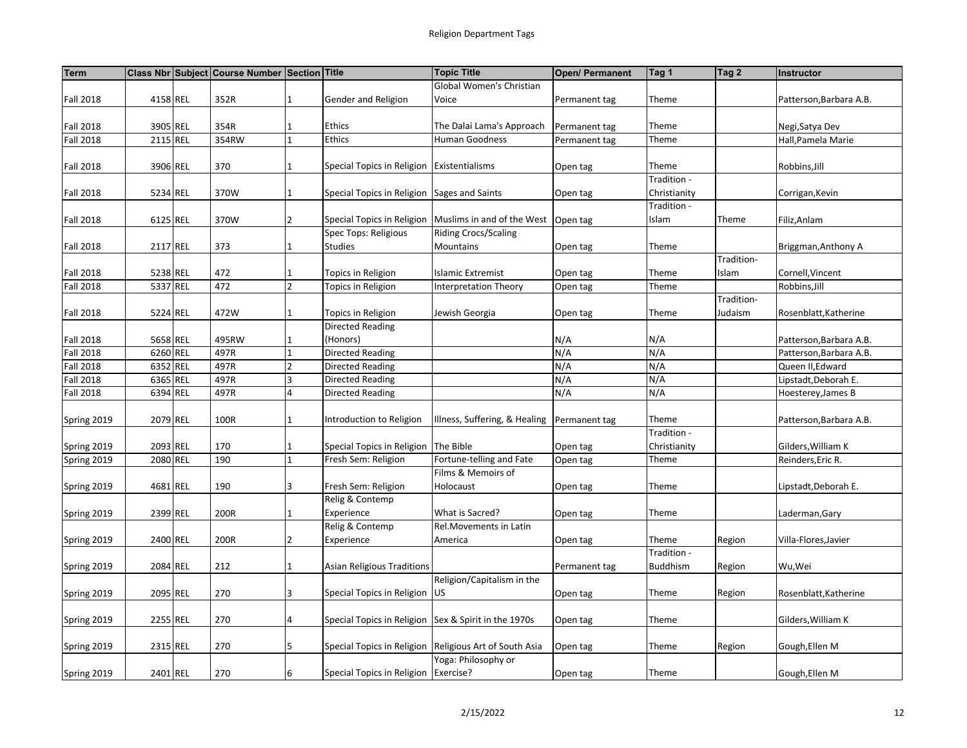| <b>Term</b>      |          | Class Nbr Subject Course Number Section Title |                |                                                      | <b>Topic Title</b>                                       | <b>Open/ Permanent</b> | Tag 1           | Tag 2      | <b>Instructor</b>       |
|------------------|----------|-----------------------------------------------|----------------|------------------------------------------------------|----------------------------------------------------------|------------------------|-----------------|------------|-------------------------|
|                  |          |                                               |                |                                                      | Global Women's Christian                                 |                        |                 |            |                         |
| <b>Fall 2018</b> | 4158 REL | 352R                                          | $\mathbf{1}$   | Gender and Religion                                  | Voice                                                    | Permanent tag          | Theme           |            | Patterson, Barbara A.B. |
|                  |          |                                               |                |                                                      |                                                          |                        |                 |            |                         |
| <b>Fall 2018</b> | 3905 REL | 354R                                          |                | <b>Ethics</b>                                        | The Dalai Lama's Approach                                | Permanent tag          | Theme           |            | Negi, Satya Dev         |
| <b>Fall 2018</b> | 2115 REL | 354RW                                         | 1              | <b>Ethics</b>                                        | Human Goodness                                           | Permanent tag          | Theme           |            | Hall, Pamela Marie      |
|                  |          |                                               |                |                                                      |                                                          |                        |                 |            |                         |
| <b>Fall 2018</b> | 3906 REL | 370                                           | 1              | Special Topics in Religion Existentialisms           |                                                          | Open tag               | Theme           |            | Robbins, Jill           |
|                  |          |                                               |                |                                                      |                                                          |                        | Tradition -     |            |                         |
| <b>Fall 2018</b> | 5234 REL | 370W                                          | $\mathbf{1}$   | Special Topics in Religion Sages and Saints          |                                                          | Open tag               | Christianity    |            | Corrigan, Kevin         |
|                  |          |                                               |                |                                                      |                                                          |                        | Tradition -     |            |                         |
| <b>Fall 2018</b> | 6125 REL | 370W                                          | $\overline{2}$ |                                                      | Special Topics in Religion   Muslims in and of the West  | Open tag               | Islam           | Theme      | Filiz, Anlam            |
|                  |          |                                               |                | Spec Tops: Religious                                 | <b>Riding Crocs/Scaling</b>                              |                        |                 |            |                         |
| <b>Fall 2018</b> | 2117 REL | 373                                           |                | <b>Studies</b>                                       | Mountains                                                | Open tag               | Theme           |            | Briggman, Anthony A     |
|                  |          |                                               |                |                                                      |                                                          |                        |                 | Tradition- |                         |
| <b>Fall 2018</b> | 5238 REL | 472                                           | $\mathbf{1}$   | Topics in Religion                                   | <b>Islamic Extremist</b>                                 | Open tag               | Theme           | Islam      | Cornell, Vincent        |
| <b>Fall 2018</b> | 5337 REL | 472                                           | $\overline{2}$ | Topics in Religion                                   | <b>Interpretation Theory</b>                             | Open tag               | Theme           |            | Robbins, Jill           |
|                  |          |                                               |                |                                                      |                                                          |                        |                 | Tradition- |                         |
| <b>Fall 2018</b> | 5224 REL | 472W                                          | 1              | Topics in Religion                                   | Jewish Georgia                                           | Open tag               | Theme           | Judaism    | Rosenblatt, Katherine   |
|                  |          |                                               |                | <b>Directed Reading</b>                              |                                                          |                        |                 |            |                         |
| <b>Fall 2018</b> | 5658 REL | 495RW                                         | $\mathbf{1}$   | (Honors)                                             |                                                          | N/A                    | N/A             |            | Patterson, Barbara A.B. |
| <b>Fall 2018</b> | 6260 REL | 497R                                          | $\mathbf{1}$   | Directed Reading                                     |                                                          | N/A                    | N/A             |            | Patterson, Barbara A.B. |
| <b>Fall 2018</b> | 6352 REL | 497R                                          | $\overline{2}$ | Directed Reading                                     |                                                          | N/A                    | N/A             |            | Queen II, Edward        |
| <b>Fall 2018</b> | 6365 REL | 497R                                          | 3              | <b>Directed Reading</b>                              |                                                          | N/A                    | N/A             |            | Lipstadt, Deborah E.    |
| <b>Fall 2018</b> | 6394 REL | 497R                                          | 4              | Directed Reading                                     |                                                          | N/A                    | N/A             |            | Hoesterey, James B      |
|                  |          |                                               |                |                                                      |                                                          |                        |                 |            |                         |
| Spring 2019      | 2079 REL | 100R                                          | $\mathbf{1}$   | Introduction to Religion                             | Illness, Suffering, & Healing                            | Permanent tag          | Theme           |            | Patterson, Barbara A.B. |
|                  |          |                                               |                |                                                      |                                                          |                        | Tradition -     |            |                         |
| Spring 2019      | 2093 REL | 170                                           | $\mathbf{1}$   | Special Topics in Religion The Bible                 |                                                          | Open tag               | Christianity    |            | Gilders, William K      |
| Spring 2019      | 2080 REL | 190                                           | $\mathbf{1}$   | Fresh Sem: Religion                                  | Fortune-telling and Fate                                 | Open tag               | Theme           |            | Reinders, Eric R.       |
|                  |          |                                               |                |                                                      | Films & Memoirs of                                       |                        |                 |            |                         |
| Spring 2019      | 4681 REL | 190                                           | 3              | Fresh Sem: Religion                                  | Holocaust                                                | Open tag               | Theme           |            | Lipstadt,Deborah E.     |
|                  |          |                                               |                | Relig & Contemp                                      |                                                          |                        |                 |            |                         |
| Spring 2019      | 2399 REL | 200R                                          | $\mathbf{1}$   | Experience                                           | What is Sacred?                                          | Open tag               | Theme           |            | Laderman,Gary           |
|                  |          |                                               |                | Relig & Contemp                                      | Rel.Movements in Latin                                   |                        |                 |            |                         |
| Spring 2019      | 2400 REL | 200R                                          | 2              | Experience                                           | America                                                  | Open tag               | Theme           | Region     | Villa-Flores, Javier    |
|                  |          |                                               |                |                                                      |                                                          |                        | Tradition -     |            |                         |
| Spring 2019      | 2084 REL | 212                                           | $\mathbf 1$    | <b>Asian Religious Traditions</b>                    |                                                          | Permanent tag          | <b>Buddhism</b> | Region     | Wu, Wei                 |
|                  |          |                                               |                |                                                      | Religion/Capitalism in the                               |                        |                 |            |                         |
| Spring 2019      | 2095 REL | 270                                           | 3              | Special Topics in Religion                           | <b>IUS</b>                                               | Open tag               | Theme           | Region     | Rosenblatt, Katherine   |
|                  |          |                                               |                |                                                      |                                                          |                        |                 |            |                         |
| Spring 2019      | 2255 REL | 270                                           | 4              | Special Topics in Religion Sex & Spirit in the 1970s |                                                          | Open tag               | Theme           |            | Gilders, William K      |
|                  |          |                                               |                |                                                      |                                                          |                        |                 |            |                         |
| Spring 2019      | 2315 REL | 270                                           | 5              |                                                      | Special Topics in Religion   Religious Art of South Asia | Open tag               | Theme           | Region     | Gough, Ellen M          |
|                  |          |                                               |                |                                                      | Yoga: Philosophy or                                      |                        |                 |            |                         |
| Spring 2019      | 2401 REL | 270                                           | 6              | Special Topics in Religion   Exercise?               |                                                          | Open tag               | Theme           |            | Gough, Ellen M          |
|                  |          |                                               |                |                                                      |                                                          |                        |                 |            |                         |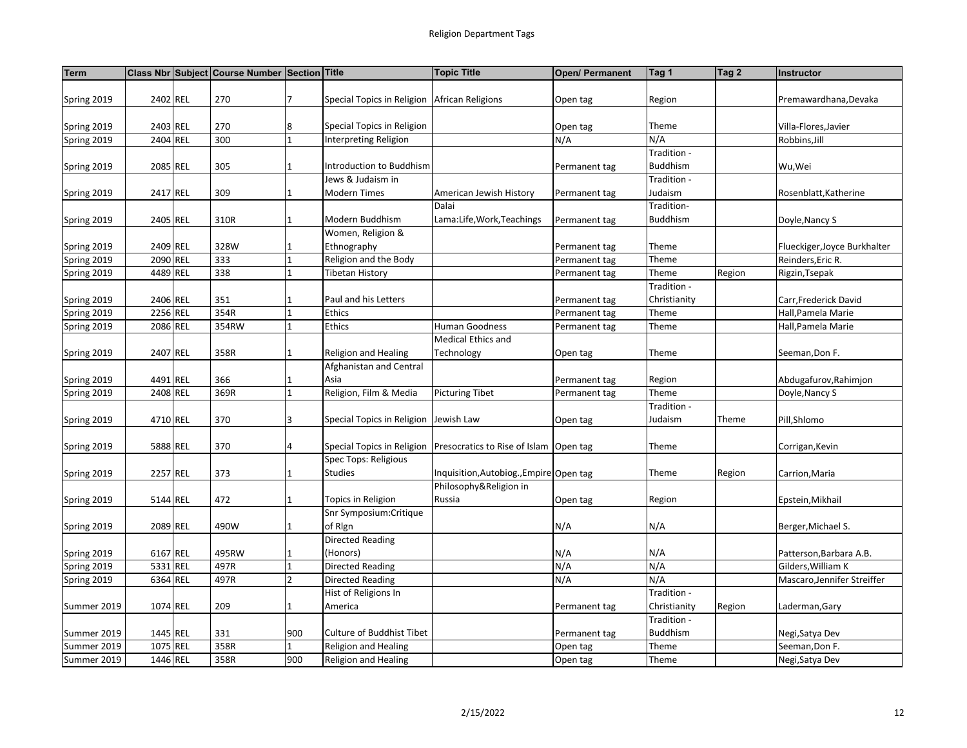| <b>Term</b> |          | Class Nbr Subject Course Number Section Title |                |                                                | <b>Topic Title</b>                                         | Open/ Permanent | Tag 1           | Tag 2  | Instructor                   |
|-------------|----------|-----------------------------------------------|----------------|------------------------------------------------|------------------------------------------------------------|-----------------|-----------------|--------|------------------------------|
|             |          |                                               |                |                                                |                                                            |                 |                 |        |                              |
| Spring 2019 | 2402 REL | 270                                           | 7              | Special Topics in Religion   African Religions |                                                            | Open tag        | Region          |        | Premawardhana, Devaka        |
|             |          |                                               |                |                                                |                                                            |                 |                 |        |                              |
| Spring 2019 | 2403 REL | 270                                           | 8              | Special Topics in Religion                     |                                                            | Open tag        | Theme           |        | Villa-Flores, Javier         |
| Spring 2019 | 2404 REL | 300                                           |                | Interpreting Religion                          |                                                            | N/A             | N/A             |        | Robbins, Jill                |
|             |          |                                               |                |                                                |                                                            |                 | Tradition -     |        |                              |
| Spring 2019 | 2085 REL | 305                                           | 1              | Introduction to Buddhism                       |                                                            | Permanent tag   | <b>Buddhism</b> |        | Wu, Wei                      |
|             |          |                                               |                | Jews & Judaism in                              |                                                            |                 | Tradition -     |        |                              |
| Spring 2019 | 2417 REL | 309                                           |                | <b>Modern Times</b>                            | American Jewish History                                    | Permanent tag   | Judaism         |        | Rosenblatt, Katherine        |
|             |          |                                               |                |                                                | Dalai                                                      |                 | Tradition-      |        |                              |
| Spring 2019 | 2405 REL | 310R                                          |                | Modern Buddhism                                | Lama:Life, Work, Teachings                                 | Permanent tag   | <b>Buddhism</b> |        | Doyle, Nancy S               |
|             |          |                                               |                | Women, Religion &                              |                                                            |                 |                 |        |                              |
| Spring 2019 | 2409 REL | 328W                                          |                | Ethnography                                    |                                                            | Permanent tag   | Theme           |        | Flueckiger, Joyce Burkhalter |
| Spring 2019 | 2090 REL | 333                                           | 1              | Religion and the Body                          |                                                            | Permanent tag   | Theme           |        | Reinders, Eric R.            |
| Spring 2019 | 4489 REL | 338                                           | 1              | <b>Tibetan History</b>                         |                                                            | Permanent tag   | Theme           | Region | Rigzin, Tsepak               |
|             |          |                                               |                |                                                |                                                            |                 | Tradition -     |        |                              |
| Spring 2019 | 2406 REL | 351                                           |                | Paul and his Letters                           |                                                            | Permanent tag   | Christianity    |        | Carr, Frederick David        |
| Spring 2019 | 2256 REL | 354R                                          |                | Ethics                                         |                                                            | Permanent tag   | Theme           |        | Hall, Pamela Marie           |
| Spring 2019 | 2086 REL | 354RW                                         |                | Ethics                                         | <b>Human Goodness</b>                                      | Permanent tag   | Theme           |        | Hall, Pamela Marie           |
|             |          |                                               |                |                                                | Medical Ethics and                                         |                 |                 |        |                              |
| Spring 2019 | 2407 REL | 358R                                          | 1              | Religion and Healing                           | Technology                                                 | Open tag        | Theme           |        | Seeman, Don F.               |
|             |          |                                               |                | Afghanistan and Central                        |                                                            |                 |                 |        |                              |
| Spring 2019 | 4491 REL | 366                                           |                | Asia                                           |                                                            | Permanent tag   | Region          |        | Abdugafurov, Rahimjon        |
| Spring 2019 | 2408 REL | 369R                                          |                | Religion, Film & Media                         | <b>Picturing Tibet</b>                                     | Permanent tag   | Theme           |        | Doyle, Nancy S               |
|             |          |                                               |                |                                                |                                                            |                 | Tradition -     |        |                              |
| Spring 2019 | 4710 REL | 370                                           | 3              | Special Topics in Religion Jewish Law          |                                                            | Open tag        | Judaism         | Theme  | Pill,Shlomo                  |
|             |          |                                               |                |                                                |                                                            |                 |                 |        |                              |
| Spring 2019 | 5888 REL | 370                                           | 4              |                                                | Special Topics in Religion   Presocratics to Rise of Islam | Open tag        | Theme           |        | Corrigan, Kevin              |
|             |          |                                               |                | Spec Tops: Religious                           |                                                            |                 |                 |        |                              |
| Spring 2019 | 2257 REL | 373                                           | 1              | Studies                                        | Inquisition, Autobiog., Empire Open tag                    |                 | Theme           | Region | Carrion, Maria               |
|             |          |                                               |                |                                                | Philosophy&Religion in                                     |                 |                 |        |                              |
| Spring 2019 | 5144 REL | 472                                           |                | Topics in Religion                             | Russia                                                     | Open tag        | Region          |        | Epstein, Mikhail             |
|             |          |                                               |                | Snr Symposium: Critique                        |                                                            |                 |                 |        |                              |
| Spring 2019 | 2089 REL | 490W                                          | $\mathbf{1}$   | of Rign                                        |                                                            | N/A             | N/A             |        | Berger, Michael S.           |
|             |          |                                               |                | <b>Directed Reading</b>                        |                                                            |                 |                 |        |                              |
| Spring 2019 | 6167 REL | 495RW                                         | $\mathbf{1}$   | (Honors)                                       |                                                            | N/A             | N/A             |        | Patterson, Barbara A.B.      |
| Spring 2019 | 5331 REL | 497R                                          | $\mathbf{1}$   | Directed Reading                               |                                                            | N/A             | N/A             |        | Gilders, William K           |
| Spring 2019 | 6364 REL | 497R                                          | $\overline{2}$ | <b>Directed Reading</b>                        |                                                            | N/A             | N/A             |        | Mascaro, Jennifer Streiffer  |
|             |          |                                               |                | Hist of Religions In                           |                                                            |                 | Tradition -     |        |                              |
| Summer 2019 | 1074 REL | 209                                           | 1              | America                                        |                                                            | Permanent tag   | Christianity    | Region | Laderman,Gary                |
|             |          |                                               |                |                                                |                                                            |                 | Tradition -     |        |                              |
| Summer 2019 | 1445 REL | 331                                           | 900            | Culture of Buddhist Tibet                      |                                                            | Permanent tag   | <b>Buddhism</b> |        | Negi, Satya Dev              |
| Summer 2019 | 1075 REL | 358R                                          |                | Religion and Healing                           |                                                            | Open tag        | Theme           |        | Seeman, Don F.               |
| Summer 2019 | 1446 REL | 358R                                          | 900            | Religion and Healing                           |                                                            | Open tag        | Theme           |        | Negi, Satya Dev              |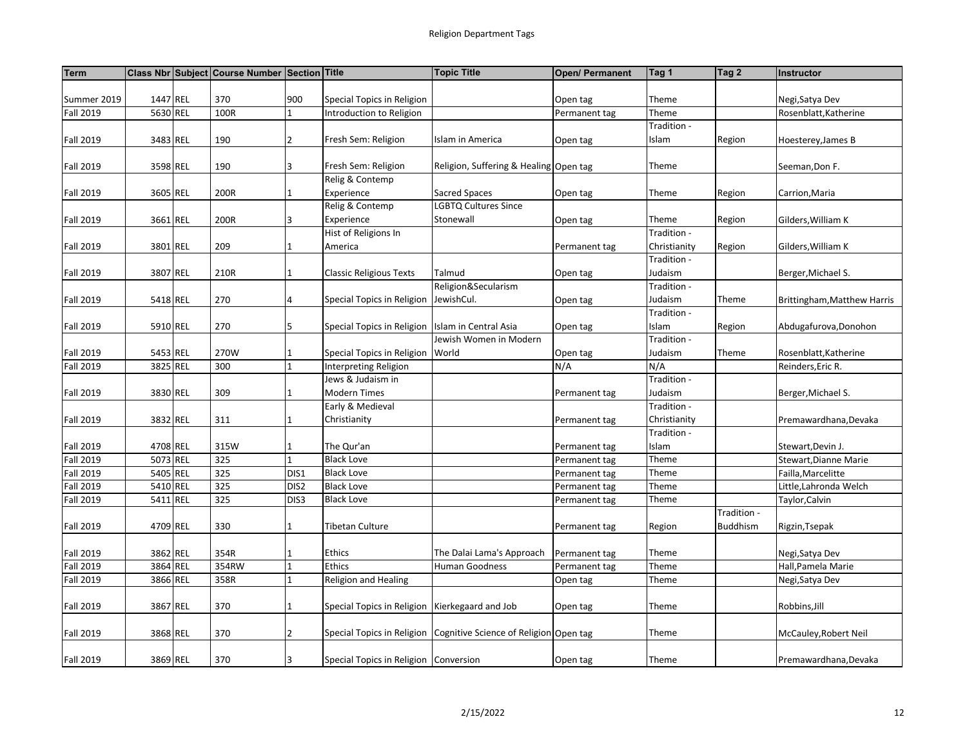| <b>Term</b>      |          | Class Nbr Subject Course Number Section Title |                  |                                                  | <b>Topic Title</b>                                                | Open/ Permanent | Tag 1        | Tag 2           | Instructor                  |
|------------------|----------|-----------------------------------------------|------------------|--------------------------------------------------|-------------------------------------------------------------------|-----------------|--------------|-----------------|-----------------------------|
|                  |          |                                               |                  |                                                  |                                                                   |                 |              |                 |                             |
| Summer 2019      | 1447 REL | 370                                           | 900              | Special Topics in Religion                       |                                                                   | Open tag        | Theme        |                 | Negi, Satya Dev             |
| <b>Fall 2019</b> | 5630 REL | 100R                                          |                  | Introduction to Religion                         |                                                                   | Permanent tag   | Theme        |                 | Rosenblatt, Katherine       |
|                  |          |                                               |                  |                                                  |                                                                   |                 | Tradition -  |                 |                             |
| <b>Fall 2019</b> | 3483 REL | 190                                           | $\overline{2}$   | Fresh Sem: Religion                              | Islam in America                                                  | Open tag        | Islam        | Region          | Hoesterey, James B          |
|                  |          |                                               |                  |                                                  |                                                                   |                 |              |                 |                             |
| <b>Fall 2019</b> | 3598 REL | 190                                           | 3                | Fresh Sem: Religion                              | Religion, Suffering & Healing Open tag                            |                 | Theme        |                 | Seeman, Don F.              |
|                  |          |                                               |                  | Relig & Contemp                                  |                                                                   |                 |              |                 |                             |
| <b>Fall 2019</b> | 3605 REL | 200R                                          | 1                | Experience                                       | Sacred Spaces                                                     | Open tag        | Theme        | Region          | Carrion, Maria              |
|                  |          |                                               |                  | Relig & Contemp                                  | LGBTQ Cultures Since                                              |                 |              |                 |                             |
| <b>Fall 2019</b> | 3661 REL | 200R                                          | 3                | Experience                                       | Stonewall                                                         | Open tag        | Theme        | Region          | Gilders, William K          |
|                  |          |                                               |                  | Hist of Religions In                             |                                                                   |                 | Tradition -  |                 |                             |
| <b>Fall 2019</b> | 3801 REL | 209                                           | $\mathbf 1$      | America                                          |                                                                   | Permanent tag   | Christianity | Region          | Gilders, William K          |
|                  |          |                                               |                  |                                                  |                                                                   |                 | Tradition -  |                 |                             |
| <b>Fall 2019</b> | 3807 REL | 210R                                          | $\mathbf{1}$     | <b>Classic Religious Texts</b>                   | Talmud                                                            | Open tag        | Judaism      |                 | Berger, Michael S.          |
|                  |          |                                               |                  |                                                  | Religion&Secularism                                               |                 | Tradition -  |                 |                             |
| <b>Fall 2019</b> | 5418 REL | 270                                           | 4                | Special Topics in Religion   JewishCul.          |                                                                   | Open tag        | Judaism      | Theme           | Brittingham, Matthew Harris |
|                  |          |                                               |                  |                                                  |                                                                   |                 | Tradition -  |                 |                             |
| <b>Fall 2019</b> | 5910 REL | 270                                           | 5                | Special Topics in Religion Islam in Central Asia |                                                                   | Open tag        | Islam        | Region          | Abdugafurova, Donohon       |
|                  |          |                                               |                  |                                                  | Jewish Women in Modern                                            |                 | Tradition -  |                 |                             |
| <b>Fall 2019</b> | 5453 REL | 270W                                          | 1                | Special Topics in Religion World                 |                                                                   | Open tag        | Judaism      | Theme           | Rosenblatt, Katherine       |
| <b>Fall 2019</b> | 3825 REL | 300                                           | $\mathbf{1}$     | Interpreting Religion                            |                                                                   | N/A             | N/A          |                 | Reinders, Eric R.           |
|                  |          |                                               |                  | Jews & Judaism in                                |                                                                   |                 | Tradition -  |                 |                             |
| <b>Fall 2019</b> | 3830 REL | 309                                           | 1                | <b>Modern Times</b>                              |                                                                   | Permanent tag   | Judaism      |                 | Berger, Michael S.          |
|                  |          |                                               |                  | Early & Medieval                                 |                                                                   |                 | Tradition -  |                 |                             |
| <b>Fall 2019</b> | 3832 REL | 311                                           | 1                | Christianity                                     |                                                                   | Permanent tag   | Christianity |                 | Premawardhana, Devaka       |
|                  |          |                                               |                  |                                                  |                                                                   |                 | Tradition -  |                 |                             |
| <b>Fall 2019</b> | 4708 REL | 315W                                          | 1                | The Qur'an                                       |                                                                   | Permanent tag   | Islam        |                 | Stewart, Devin J.           |
| <b>Fall 2019</b> | 5073 REL | 325                                           | $\mathbf{1}$     | <b>Black Love</b>                                |                                                                   | Permanent tag   | Theme        |                 | Stewart, Dianne Marie       |
| <b>Fall 2019</b> | 5405 REL | $\overline{325}$                              | DIS1             | <b>Black Love</b>                                |                                                                   | Permanent tag   | Theme        |                 | Failla, Marcelitte          |
| <b>Fall 2019</b> | 5410 REL | 325                                           | DIS <sub>2</sub> | <b>Black Love</b>                                |                                                                   | Permanent tag   | Theme        |                 | Little, Lahronda Welch      |
| <b>Fall 2019</b> | 5411 REL | 325                                           | DIS3             | <b>Black Love</b>                                |                                                                   | Permanent tag   | Theme        |                 | Taylor, Calvin              |
|                  |          |                                               |                  |                                                  |                                                                   |                 |              | Tradition -     |                             |
| <b>Fall 2019</b> | 4709 REL | 330                                           | $\mathbf{1}$     | Tibetan Culture                                  |                                                                   | Permanent tag   | Region       | <b>Buddhism</b> | Rigzin, Tsepak              |
|                  |          |                                               |                  |                                                  |                                                                   |                 |              |                 |                             |
| <b>Fall 2019</b> | 3862 REL | 354R                                          | 1                | Ethics                                           | The Dalai Lama's Approach                                         | Permanent tag   | Theme        |                 | Negi, Satya Dev             |
| <b>Fall 2019</b> | 3864 REL | 354RW                                         | $\mathbf{1}$     | Ethics                                           | <b>Human Goodness</b>                                             | Permanent tag   | Theme        |                 | Hall, Pamela Marie          |
| <b>Fall 2019</b> | 3866 REL | 358R                                          | $\mathbf{1}$     | Religion and Healing                             |                                                                   | Open tag        | Theme        |                 | Negi, Satya Dev             |
|                  |          |                                               |                  |                                                  |                                                                   |                 |              |                 |                             |
| <b>Fall 2019</b> | 3867 REL | 370                                           | 1                | Special Topics in Religion Kierkegaard and Job   |                                                                   | Open tag        | Theme        |                 | Robbins, Jill               |
|                  |          |                                               |                  |                                                  |                                                                   |                 |              |                 |                             |
| <b>Fall 2019</b> | 3868 REL | 370                                           | $\overline{2}$   |                                                  | Special Topics in Religion Cognitive Science of Religion Open tag |                 | Theme        |                 | McCauley, Robert Neil       |
|                  |          |                                               |                  |                                                  |                                                                   |                 |              |                 |                             |
| <b>Fall 2019</b> | 3869 REL | 370                                           | 3                | Special Topics in Religion   Conversion          |                                                                   | Open tag        | Theme        |                 | Premawardhana, Devaka       |
|                  |          |                                               |                  |                                                  |                                                                   |                 |              |                 |                             |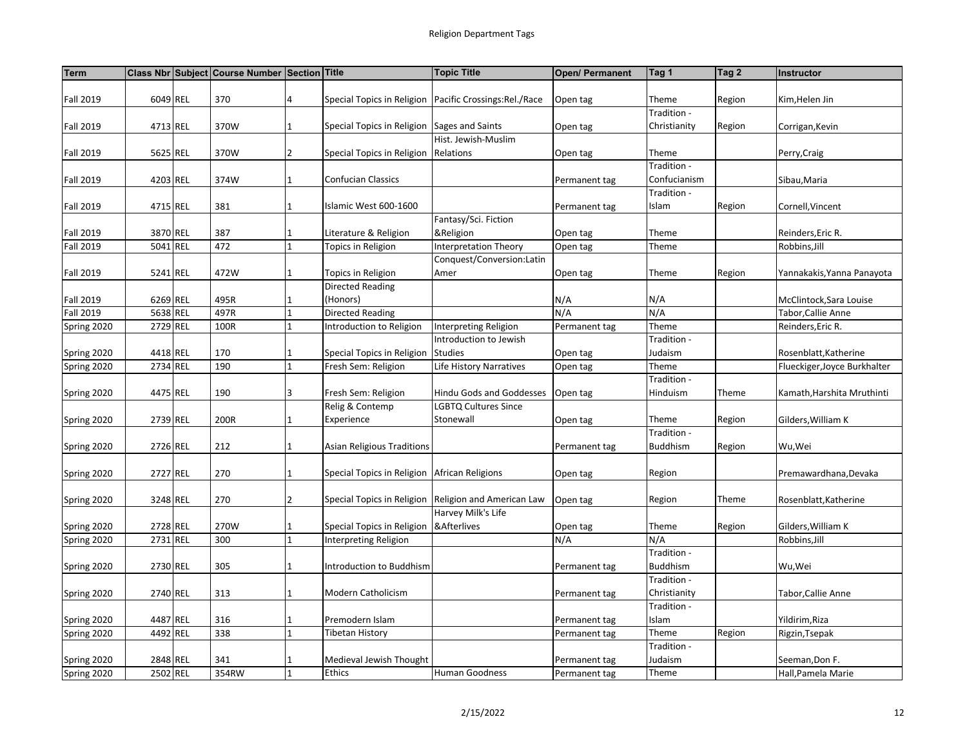| <b>Term</b>      |          | Class Nbr Subject Course Number Section Title |                |                                                | <b>Topic Title</b>                                          | Open/ Permanent | Tag 1           | Tag 2  | Instructor                   |
|------------------|----------|-----------------------------------------------|----------------|------------------------------------------------|-------------------------------------------------------------|-----------------|-----------------|--------|------------------------------|
|                  |          |                                               |                |                                                |                                                             |                 |                 |        |                              |
| <b>Fall 2019</b> | 6049 REL | 370                                           | 4              |                                                | Special Topics in Religion   Pacific Crossings: Rel. / Race | Open tag        | Theme           | Region | Kim, Helen Jin               |
|                  |          |                                               |                |                                                |                                                             |                 | Tradition -     |        |                              |
| <b>Fall 2019</b> | 4713 REL | 370W                                          | 1              | Special Topics in Religion Sages and Saints    |                                                             | Open tag        | Christianity    | Region | Corrigan, Kevin              |
|                  |          |                                               |                |                                                | Hist. Jewish-Muslim                                         |                 |                 |        |                              |
| <b>Fall 2019</b> | 5625 REL | 370W                                          | $\overline{2}$ | Special Topics in Religion Relations           |                                                             | Open tag        | Theme           |        | Perry, Craig                 |
|                  |          |                                               |                |                                                |                                                             |                 | Tradition -     |        |                              |
| <b>Fall 2019</b> | 4203 REL | 374W                                          | $\mathbf 1$    | <b>Confucian Classics</b>                      |                                                             | Permanent tag   | Confucianism    |        | Sibau, Maria                 |
|                  |          |                                               |                |                                                |                                                             |                 | Tradition -     |        |                              |
| <b>Fall 2019</b> | 4715 REL | 381                                           | $\mathbf{1}$   | Islamic West 600-1600                          |                                                             | Permanent tag   | Islam           | Region | Cornell, Vincent             |
|                  |          |                                               |                |                                                | Fantasy/Sci. Fiction                                        |                 |                 |        |                              |
| <b>Fall 2019</b> | 3870 REL | 387                                           | 1              | Literature & Religion                          | &Religion                                                   | Open tag        | Theme           |        | Reinders, Eric R.            |
| <b>Fall 2019</b> | 5041 REL | 472                                           | 1              | Topics in Religion                             | Interpretation Theory                                       | Open tag        | Theme           |        | Robbins, Jill                |
|                  |          |                                               |                |                                                | Conquest/Conversion:Latin                                   |                 |                 |        |                              |
| <b>Fall 2019</b> | 5241 REL | 472W                                          | 1              | Topics in Religion                             | Amer                                                        | Open tag        | Theme           | Region | Yannakakis, Yanna Panayota   |
|                  |          |                                               |                | <b>Directed Reading</b>                        |                                                             |                 |                 |        |                              |
| <b>Fall 2019</b> | 6269 REL | 495R                                          | 1              | (Honors)                                       |                                                             | N/A             | N/A             |        | McClintock, Sara Louise      |
| <b>Fall 2019</b> | 5638 REL | 497R                                          | $\mathbf{1}$   | <b>Directed Reading</b>                        |                                                             | N/A             | N/A             |        | Tabor, Callie Anne           |
| Spring 2020      | 2729 REL | 100R                                          |                | Introduction to Religion                       | Interpreting Religion                                       | Permanent tag   | Theme           |        | Reinders, Eric R.            |
|                  |          |                                               |                |                                                | Introduction to Jewish                                      |                 | Tradition -     |        |                              |
| Spring 2020      | 4418 REL | 170                                           | 1              | Special Topics in Religion Studies             |                                                             | Open tag        | Judaism         |        | Rosenblatt, Katherine        |
| Spring 2020      | 2734 REL | 190                                           | $\mathbf{1}$   | Fresh Sem: Religion                            | Life History Narratives                                     | Open tag        | Theme           |        | Flueckiger, Joyce Burkhalter |
|                  |          |                                               |                |                                                |                                                             |                 | Tradition -     |        |                              |
| Spring 2020      | 4475 REL | 190                                           | 3              | Fresh Sem: Religion                            | Hindu Gods and Goddesses                                    | Open tag        | Hinduism        | Theme  | Kamath, Harshita Mruthinti   |
|                  |          |                                               |                | Relig & Contemp                                | LGBTQ Cultures Since                                        |                 |                 |        |                              |
| Spring 2020      | 2739 REL | 200R                                          | $\mathbf{1}$   | Experience                                     | Stonewall                                                   | Open tag        | Theme           | Region | Gilders, William K           |
|                  |          |                                               |                |                                                |                                                             |                 | Tradition -     |        |                              |
| Spring 2020      | 2726 REL | 212                                           | $\mathbf{1}$   | <b>Asian Religious Traditions</b>              |                                                             | Permanent tag   | <b>Buddhism</b> | Region | Wu,Wei                       |
|                  |          |                                               |                |                                                |                                                             |                 |                 |        |                              |
| Spring 2020      | 2727 REL | 270                                           | 1              | Special Topics in Religion   African Religions |                                                             | Open tag        | Region          |        | Premawardhana, Devaka        |
|                  |          |                                               |                |                                                |                                                             |                 |                 |        |                              |
| Spring 2020      | 3248 REL | 270                                           | $\overline{2}$ |                                                | Special Topics in Religion Religion and American Law        | Open tag        | Region          | Theme  | Rosenblatt, Katherine        |
|                  |          |                                               |                |                                                | Harvey Milk's Life                                          |                 |                 |        |                              |
| Spring 2020      | 2728 REL | 270W                                          | $\mathbf{1}$   | Special Topics in Religion   & Afterlives      |                                                             | Open tag        | Theme           | Region | Gilders, William K           |
| Spring 2020      | 2731 REL | 300                                           | 1              | Interpreting Religion                          |                                                             | N/A             | N/A             |        | Robbins, Jill                |
|                  |          |                                               |                |                                                |                                                             |                 | Tradition -     |        |                              |
| Spring 2020      | 2730 REL | 305                                           | 1              | Introduction to Buddhism                       |                                                             | Permanent tag   | Buddhism        |        | Wu,Wei                       |
|                  |          |                                               |                |                                                |                                                             |                 | Tradition -     |        |                              |
| Spring 2020      | 2740 REL | 313                                           | 1              | Modern Catholicism                             |                                                             | Permanent tag   | Christianity    |        | Tabor, Callie Anne           |
|                  |          |                                               |                |                                                |                                                             |                 | Tradition -     |        |                              |
| Spring 2020      | 4487 REL | 316                                           | 1              | Premodern Islam                                |                                                             | Permanent tag   | Islam           |        | Yildirim, Riza               |
| Spring 2020      | 4492 REL | 338                                           | $\mathbf{1}$   | <b>Tibetan History</b>                         |                                                             | Permanent tag   | Theme           | Region | Rigzin, Tsepak               |
|                  |          |                                               |                |                                                |                                                             |                 | Tradition -     |        |                              |
| Spring 2020      | 2848 REL | 341                                           | 1              | Medieval Jewish Thought                        |                                                             | Permanent tag   | Judaism         |        | Seeman, Don F.               |
| Spring 2020      | 2502 REL | 354RW                                         |                | Ethics                                         | <b>Human Goodness</b>                                       | Permanent tag   | Theme           |        | Hall, Pamela Marie           |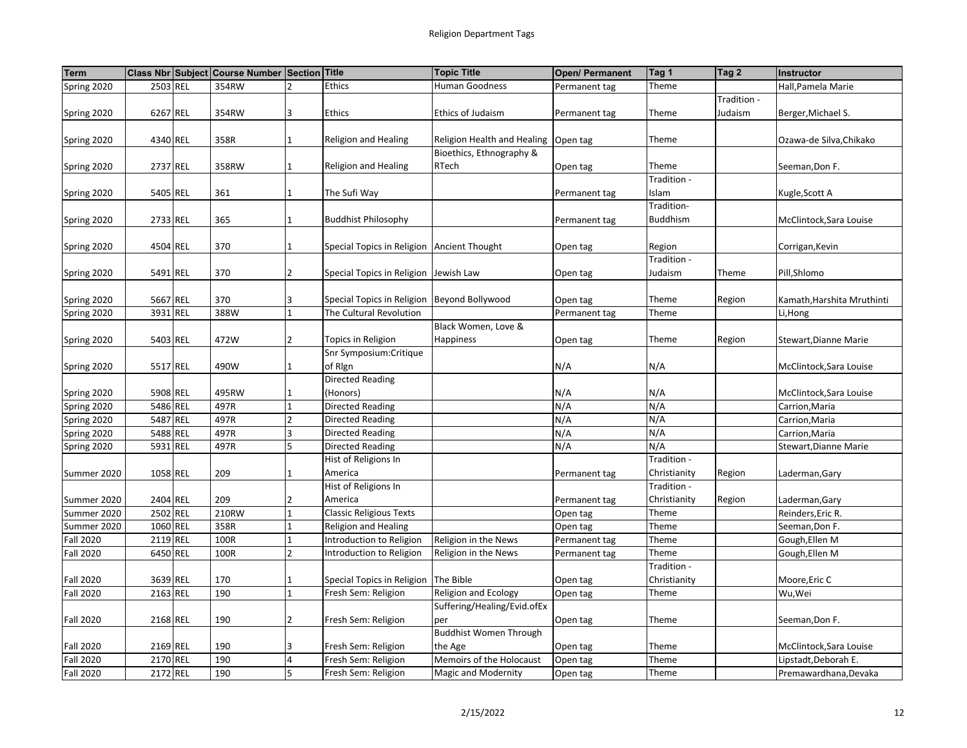| <b>Term</b>      |          | Class Nbr Subject Course Number Section |                | <b>Title</b>                                  | <b>Topic Title</b>            | <b>Open/ Permanent</b> | Tag 1           | Tag 2       | Instructor                 |
|------------------|----------|-----------------------------------------|----------------|-----------------------------------------------|-------------------------------|------------------------|-----------------|-------------|----------------------------|
| Spring 2020      | 2503 REL | 354RW                                   |                | <b>Ethics</b>                                 | Human Goodness                | Permanent tag          | Theme           |             | Hall, Pamela Marie         |
|                  |          |                                         |                |                                               |                               |                        |                 | Tradition - |                            |
| Spring 2020      | 6267 REL | 354RW                                   | 3              | Ethics                                        | Ethics of Judaism             | Permanent tag          | Theme           | Judaism     | Berger, Michael S.         |
|                  |          |                                         |                |                                               |                               |                        |                 |             |                            |
| Spring 2020      | 4340 REL | 358R                                    |                | <b>Religion and Healing</b>                   | Religion Health and Healing   | Open tag               | Theme           |             | Ozawa-de Silva, Chikako    |
|                  |          |                                         |                |                                               | Bioethics, Ethnography &      |                        |                 |             |                            |
| Spring 2020      | 2737 REL | 358RW                                   |                | <b>Religion and Healing</b>                   | RTech                         | Open tag               | Theme           |             | Seeman, Don F.             |
|                  |          |                                         |                |                                               |                               |                        | Tradition -     |             |                            |
| Spring 2020      | 5405 REL | 361                                     | 1              | The Sufi Way                                  |                               | Permanent tag          | Islam           |             | Kugle, Scott A             |
|                  |          |                                         |                |                                               |                               |                        | Tradition-      |             |                            |
| Spring 2020      | 2733 REL | 365                                     |                | <b>Buddhist Philosophy</b>                    |                               | Permanent tag          | <b>Buddhism</b> |             | McClintock, Sara Louise    |
|                  |          |                                         |                |                                               |                               |                        |                 |             |                            |
| Spring 2020      | 4504 REL | 370                                     |                | Special Topics in Religion   Ancient Thought  |                               | Open tag               | Region          |             | Corrigan, Kevin            |
|                  |          |                                         |                |                                               |                               |                        | Tradition -     |             |                            |
| Spring 2020      | 5491 REL | 370                                     | $\overline{2}$ | Special Topics in Religion Jewish Law         |                               | Open tag               | Judaism         | Theme       | Pill,Shlomo                |
|                  |          |                                         |                |                                               |                               |                        |                 |             |                            |
| Spring 2020      | 5667 REL | 370                                     | 3              | Special Topics in Religion   Beyond Bollywood |                               | Open tag               | Theme           | Region      | Kamath, Harshita Mruthinti |
| Spring 2020      | 3931 REL | 388W                                    | $\mathbf{1}$   | The Cultural Revolution                       |                               | Permanent tag          | Theme           |             | Li, Hong                   |
|                  |          |                                         |                |                                               | Black Women, Love &           |                        |                 |             |                            |
| Spring 2020      | 5403 REL | 472W                                    | 2              | Topics in Religion                            | Happiness                     | Open tag               | Theme           | Region      | Stewart, Dianne Marie      |
|                  |          |                                         |                | Snr Symposium: Critique                       |                               |                        |                 |             |                            |
| Spring 2020      | 5517 REL | 490W                                    |                | of Rign                                       |                               | N/A                    | N/A             |             | McClintock, Sara Louise    |
|                  |          |                                         |                | Directed Reading                              |                               |                        |                 |             |                            |
| Spring 2020      | 5908 REL | 495RW                                   |                | (Honors)                                      |                               | N/A                    | N/A             |             | McClintock, Sara Louise    |
| Spring 2020      | 5486 REL | 497R                                    | 1              | <b>Directed Reading</b>                       |                               | N/A                    | N/A             |             | Carrion, Maria             |
| Spring 2020      | 5487 REL | 497R                                    | $\overline{2}$ | Directed Reading                              |                               | N/A                    | N/A             |             | Carrion, Maria             |
| Spring 2020      | 5488 REL | 497R                                    | 3              | Directed Reading                              |                               | N/A                    | N/A             |             | Carrion, Maria             |
| Spring 2020      | 5931 REL | 497R                                    |                | <b>Directed Reading</b>                       |                               | N/A                    | N/A             |             | Stewart, Dianne Marie      |
|                  |          |                                         |                | Hist of Religions In                          |                               |                        | Tradition -     |             |                            |
| Summer 2020      | 1058 REL | 209                                     |                | America                                       |                               | Permanent tag          | Christianity    | Region      | Laderman, Gary             |
|                  |          |                                         |                | Hist of Religions In                          |                               |                        | Tradition -     |             |                            |
| Summer 2020      | 2404 REL | 209                                     | $\overline{2}$ | America                                       |                               | Permanent tag          | Christianity    | Region      | Laderman, Gary             |
| Summer 2020      | 2502 REL | 210RW                                   | $\mathbf{1}$   | <b>Classic Religious Texts</b>                |                               | Open tag               | Theme           |             | Reinders, Eric R.          |
| Summer 2020      | 1060 REL | 358R                                    |                | <b>Religion and Healing</b>                   |                               | Open tag               | Theme           |             | Seeman, Don F.             |
| <b>Fall 2020</b> | 2119 REL | 100R                                    | 1              | Introduction to Religion                      | Religion in the News          | Permanent tag          | Theme           |             | Gough, Ellen M             |
| <b>Fall 2020</b> | 6450 REL | 100R                                    | $\mathcal{P}$  | Introduction to Religion                      | Religion in the News          | Permanent tag          | Theme           |             | Gough, Ellen M             |
|                  |          |                                         |                |                                               |                               |                        | Tradition -     |             |                            |
| <b>Fall 2020</b> | 3639 REL | 170                                     |                | Special Topics in Religion The Bible          |                               | Open tag               | Christianity    |             | Moore, Eric C              |
| <b>Fall 2020</b> | 2163 REL | 190                                     | $\mathbf{1}$   | Fresh Sem: Religion                           | Religion and Ecology          | Open tag               | Theme           |             | Wu,Wei                     |
|                  |          |                                         |                |                                               | Suffering/Healing/Evid.ofEx   |                        |                 |             |                            |
| <b>Fall 2020</b> | 2168 REL | 190                                     | $\overline{2}$ | Fresh Sem: Religion                           | per                           | Open tag               | Theme           |             | Seeman, Don F.             |
|                  |          |                                         |                |                                               | <b>Buddhist Women Through</b> |                        |                 |             |                            |
| <b>Fall 2020</b> | 2169 REL | 190                                     | 3              | Fresh Sem: Religion                           | the Age                       | Open tag               | Theme           |             | McClintock, Sara Louise    |
| <b>Fall 2020</b> | 2170 REL | 190                                     | $\overline{4}$ | Fresh Sem: Religion                           | Memoirs of the Holocaust      | Open tag               | Theme           |             | Lipstadt, Deborah E.       |
| <b>Fall 2020</b> | 2172 REL | 190                                     | 5              | Fresh Sem: Religion                           | <b>Magic and Modernity</b>    |                        | Theme           |             | Premawardhana, Devaka      |
|                  |          |                                         |                |                                               |                               | Open tag               |                 |             |                            |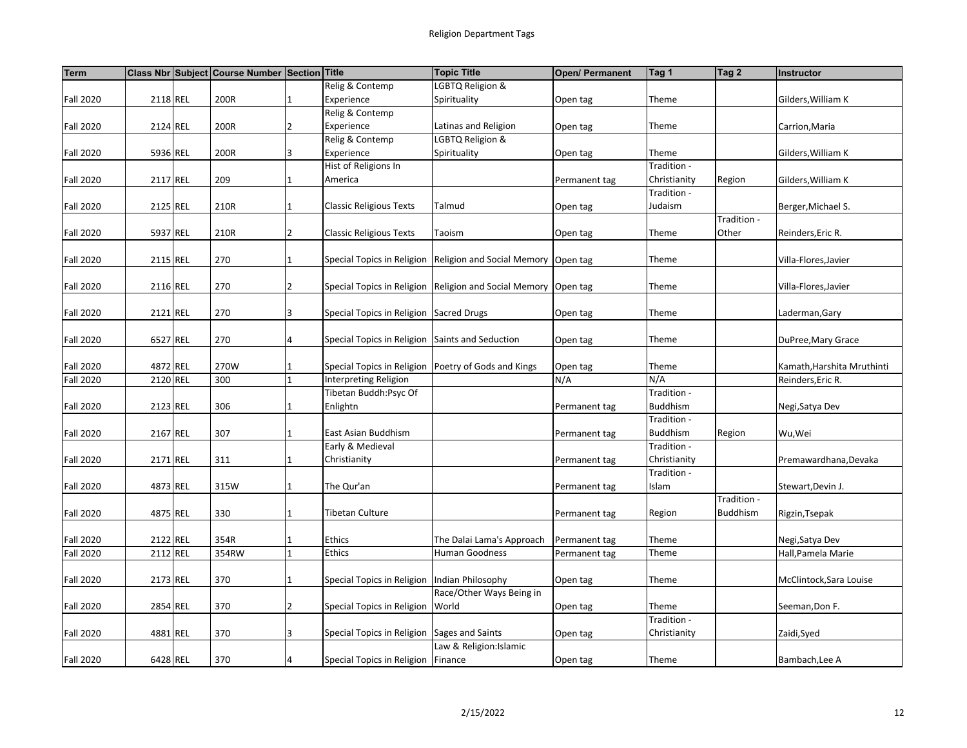| <b>Term</b>      |          | Class Nbr Subject Course Number Section Title |                |                                                 | <b>Topic Title</b>                                               | <b>Open/ Permanent</b> | Tag 1           | Tag 2           | Instructor                 |
|------------------|----------|-----------------------------------------------|----------------|-------------------------------------------------|------------------------------------------------------------------|------------------------|-----------------|-----------------|----------------------------|
|                  |          |                                               |                | Relig & Contemp                                 | LGBTQ Religion &                                                 |                        |                 |                 |                            |
| <b>Fall 2020</b> | 2118 REL | 200R                                          | 1              | Experience                                      | Spirituality                                                     | Open tag               | Theme           |                 | Gilders, William K         |
|                  |          |                                               |                | Relig & Contemp                                 |                                                                  |                        |                 |                 |                            |
| <b>Fall 2020</b> | 2124 REL | 200R                                          | $\overline{2}$ | Experience                                      | Latinas and Religion                                             | Open tag               | Theme           |                 | Carrion, Maria             |
|                  |          |                                               |                | Relig & Contemp                                 | LGBTQ Religion &                                                 |                        |                 |                 |                            |
| <b>Fall 2020</b> | 5936 REL | 200R                                          | 3              | Experience                                      | Spirituality                                                     | Open tag               | Theme           |                 | Gilders, William K         |
|                  |          |                                               |                | Hist of Religions In                            |                                                                  |                        | Tradition -     |                 |                            |
| <b>Fall 2020</b> | 2117 REL | 209                                           | 1              | America                                         |                                                                  | Permanent tag          | Christianity    | Region          | Gilders, William K         |
|                  |          |                                               |                |                                                 |                                                                  |                        | Tradition -     |                 |                            |
| <b>Fall 2020</b> | 2125 REL | 210R                                          | $\mathbf{1}$   | <b>Classic Religious Texts</b>                  | Talmud                                                           | Open tag               | Judaism         |                 | Berger, Michael S.         |
|                  |          |                                               |                |                                                 |                                                                  |                        |                 | Tradition -     |                            |
| <b>Fall 2020</b> | 5937 REL | 210R                                          | $\overline{2}$ | <b>Classic Religious Texts</b>                  | Taoism                                                           | Open tag               | Theme           | Other           | Reinders, Eric R.          |
|                  |          |                                               |                |                                                 |                                                                  |                        |                 |                 |                            |
| <b>Fall 2020</b> | 2115 REL | 270                                           | 1              |                                                 | Special Topics in Religion Religion and Social Memory   Open tag |                        | Theme           |                 | Villa-Flores, Javier       |
|                  |          |                                               | $\overline{2}$ |                                                 |                                                                  |                        |                 |                 |                            |
| <b>Fall 2020</b> | 2116 REL | 270                                           |                |                                                 | Special Topics in Religion Religion and Social Memory Open tag   |                        | Theme           |                 | Villa-Flores, Javier       |
|                  |          | 270                                           | 3              | Special Topics in Religion Sacred Drugs         |                                                                  |                        | Theme           |                 |                            |
| <b>Fall 2020</b> | 2121 REL |                                               |                |                                                 |                                                                  | Open tag               |                 |                 | Laderman, Gary             |
| <b>Fall 2020</b> | 6527 REL | 270                                           | 4              | Special Topics in Religion Saints and Seduction |                                                                  | Open tag               | Theme           |                 | DuPree, Mary Grace         |
|                  |          |                                               |                |                                                 |                                                                  |                        |                 |                 |                            |
| <b>Fall 2020</b> | 4872 REL | 270W                                          | 1              |                                                 | Special Topics in Religion Poetry of Gods and Kings              | Open tag               | Theme           |                 | Kamath, Harshita Mruthinti |
| <b>Fall 2020</b> | 2120 REL | 300                                           | 1              | Interpreting Religion                           |                                                                  | N/A                    | N/A             |                 | Reinders, Eric R.          |
|                  |          |                                               |                | Tibetan Buddh:Psyc Of                           |                                                                  |                        | Tradition -     |                 |                            |
| <b>Fall 2020</b> | 2123 REL | 306                                           | $\mathbf{1}$   | Enlightn                                        |                                                                  | Permanent tag          | <b>Buddhism</b> |                 | Negi, Satya Dev            |
|                  |          |                                               |                |                                                 |                                                                  |                        | Tradition -     |                 |                            |
| <b>Fall 2020</b> | 2167 REL | 307                                           | 1              | East Asian Buddhism                             |                                                                  | Permanent tag          | <b>Buddhism</b> | Region          | Wu, Wei                    |
|                  |          |                                               |                | Early & Medieval                                |                                                                  |                        | Tradition -     |                 |                            |
| <b>Fall 2020</b> | 2171 REL | 311                                           | 1              | Christianity                                    |                                                                  | Permanent tag          | Christianity    |                 | Premawardhana, Devaka      |
|                  |          |                                               |                |                                                 |                                                                  |                        | Tradition -     |                 |                            |
| <b>Fall 2020</b> | 4873 REL | 315W                                          | $\mathbf{1}$   | The Qur'an                                      |                                                                  | Permanent tag          | Islam           |                 | Stewart, Devin J.          |
|                  |          |                                               |                |                                                 |                                                                  |                        |                 | Tradition -     |                            |
| <b>Fall 2020</b> | 4875 REL | 330                                           | $\mathbf{1}$   | Tibetan Culture                                 |                                                                  | Permanent tag          | Region          | <b>Buddhism</b> | Rigzin, Tsepak             |
|                  |          |                                               |                |                                                 |                                                                  |                        |                 |                 |                            |
| <b>Fall 2020</b> | 2122 REL | 354R                                          |                | Ethics                                          | The Dalai Lama's Approach                                        | Permanent tag          | Theme           |                 | Negi, Satya Dev            |
| <b>Fall 2020</b> | 2112 REL | 354RW                                         | $\mathbf{1}$   | Ethics                                          | Human Goodness                                                   | Permanent tag          | Theme           |                 | Hall, Pamela Marie         |
|                  |          |                                               |                |                                                 |                                                                  |                        |                 |                 |                            |
| <b>Fall 2020</b> | 2173 REL | 370                                           | 1              | Special Topics in Religion   Indian Philosophy  |                                                                  | Open tag               | Theme           |                 | McClintock, Sara Louise    |
|                  |          |                                               |                |                                                 | Race/Other Ways Being in                                         |                        |                 |                 |                            |
| <b>Fall 2020</b> | 2854 REL | 370                                           | $\overline{2}$ | Special Topics in Religion World                |                                                                  | Open tag               | Theme           |                 | Seeman, Don F.             |
|                  |          |                                               |                |                                                 |                                                                  |                        | Tradition -     |                 |                            |
| <b>Fall 2020</b> | 4881 REL | 370                                           | 3              | Special Topics in Religion Sages and Saints     |                                                                  | Open tag               | Christianity    |                 | Zaidi, Syed                |
|                  |          |                                               |                |                                                 | Law & Religion:Islamic                                           |                        |                 |                 |                            |
| <b>Fall 2020</b> | 6428 REL | 370                                           |                | Special Topics in Religion   Finance            |                                                                  | Open tag               | Theme           |                 | Bambach, Lee A             |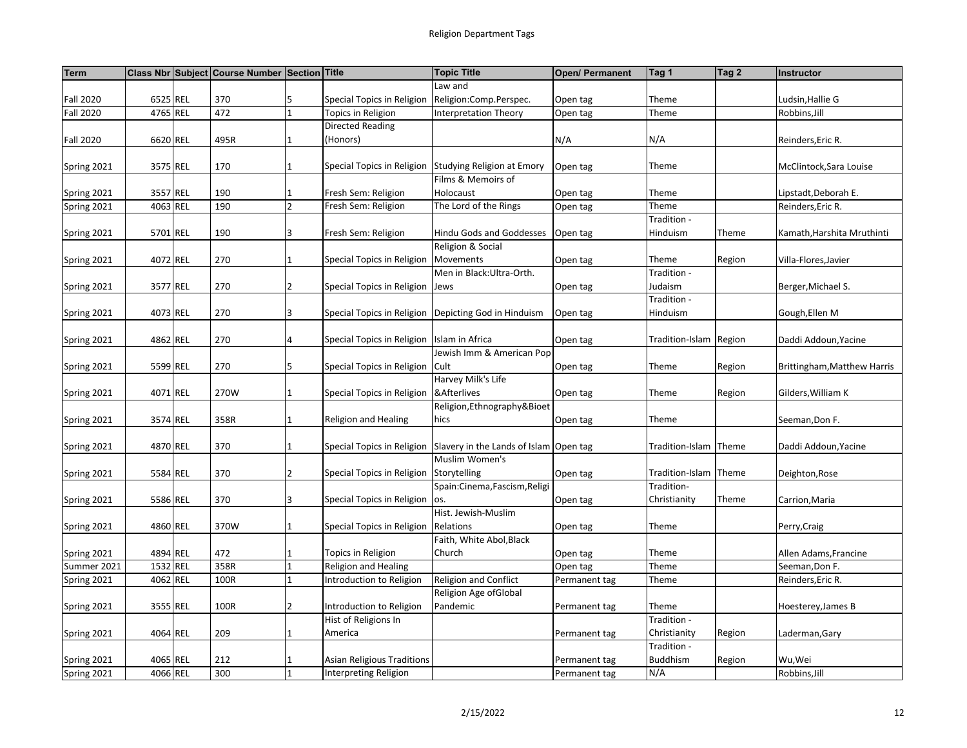| <b>Term</b>                |          | Class Nbr Subject Course Number Section Title |                |                                            | <b>Topic Title</b>                                     | <b>Open/ Permanent</b> | Tag 1                  | Tag 2  | Instructor                  |
|----------------------------|----------|-----------------------------------------------|----------------|--------------------------------------------|--------------------------------------------------------|------------------------|------------------------|--------|-----------------------------|
|                            |          |                                               |                |                                            | Law and                                                |                        |                        |        |                             |
| <b>Fall 2020</b>           | 6525 REL | 370                                           | 5              | Special Topics in Religion                 | Religion:Comp.Perspec.                                 | Open tag               | Theme                  |        | Ludsin, Hallie G            |
| <b>Fall 2020</b>           | 4765 REL | 472                                           | 1              | Topics in Religion                         | <b>Interpretation Theory</b>                           | Open tag               | Theme                  |        | Robbins, Jill               |
|                            |          |                                               |                | <b>Directed Reading</b>                    |                                                        |                        |                        |        |                             |
| <b>Fall 2020</b>           | 6620 REL | 495R                                          | 1              | (Honors)                                   |                                                        | N/A                    | N/A                    |        | Reinders, Eric R.           |
|                            |          |                                               |                |                                            |                                                        |                        |                        |        |                             |
| Spring 2021                | 3575 REL | 170                                           | $\mathbf{1}$   |                                            | Special Topics in Religion Studying Religion at Emory  | Open tag               | Theme                  |        | McClintock, Sara Louise     |
|                            |          |                                               |                |                                            | Films & Memoirs of                                     |                        |                        |        |                             |
| Spring 2021                | 3557 REL | 190                                           | 1              | Fresh Sem: Religion                        | Holocaust                                              | Open tag               | Theme                  |        | Lipstadt, Deborah E.        |
| Spring 2021                | 4063 REL | 190                                           | $\overline{2}$ | Fresh Sem: Religion                        | The Lord of the Rings                                  | Open tag               | Theme                  |        | Reinders, Eric R.           |
|                            |          |                                               |                |                                            |                                                        |                        | Tradition -            |        |                             |
| Spring 2021                | 5701 REL | 190                                           | 3              | Fresh Sem: Religion                        | <b>Hindu Gods and Goddesses</b>                        | Open tag               | Hinduism               | Theme  | Kamath, Harshita Mruthinti  |
|                            |          |                                               |                |                                            | Religion & Social                                      |                        |                        |        |                             |
| Spring 2021                | 4072 REL | 270                                           | $\mathbf{1}$   | Special Topics in Religion                 | Movements                                              | Open tag               | Theme                  | Region | Villa-Flores, Javier        |
|                            |          |                                               |                |                                            | Men in Black:Ultra-Orth.                               |                        | Tradition -            |        |                             |
| Spring 2021                | 3577 REL | 270                                           | $\overline{2}$ | Special Topics in Religion Jews            |                                                        | Open tag               | Judaism                |        | Berger, Michael S.          |
|                            |          |                                               |                |                                            |                                                        |                        | Tradition -            |        |                             |
| Spring 2021                | 4073 REL | 270                                           | 3              |                                            | Special Topics in Religion   Depicting God in Hinduism | Open tag               | Hinduism               |        | Gough, Ellen M              |
|                            |          |                                               |                |                                            |                                                        |                        |                        |        |                             |
| Spring 2021                | 4862 REL | 270                                           | 4              | Special Topics in Religion Islam in Africa |                                                        | Open tag               | Tradition-Islam Region |        | Daddi Addoun, Yacine        |
|                            |          |                                               |                |                                            | Jewish Imm & American Pop                              |                        |                        |        |                             |
| Spring 2021                | 5599 REL | 270                                           | 5              | Special Topics in Religion                 | Cult                                                   | Open tag               | Theme                  | Region | Brittingham, Matthew Harris |
|                            |          |                                               |                |                                            | Harvey Milk's Life                                     |                        |                        |        |                             |
| Spring 2021                | 4071 REL | 270W                                          | $\mathbf{1}$   | Special Topics in Religion                 | &Afterlives                                            | Open tag               | Theme                  | Region | Gilders, William K          |
|                            |          |                                               |                |                                            | Religion, Ethnography & Bioet                          |                        |                        |        |                             |
| Spring 2021                | 3574 REL | 358R                                          | $\mathbf{1}$   | Religion and Healing                       | hics                                                   | Open tag               | Theme                  |        | Seeman, Don F.              |
|                            |          |                                               |                |                                            |                                                        |                        |                        |        |                             |
| Spring 2021                | 4870 REL | 370                                           | $\mathbf{1}$   | Special Topics in Religion                 | Slavery in the Lands of Islam                          | Open tag               | Tradition-Islam        | Theme  | Daddi Addoun, Yacine        |
|                            |          |                                               |                |                                            | Muslim Women's                                         |                        |                        |        |                             |
| Spring 2021                | 5584 REL | 370                                           | $\overline{2}$ | Special Topics in Religion                 | Storytelling                                           | Open tag               | Tradition-Islam Theme  |        | Deighton, Rose              |
|                            |          |                                               |                |                                            | Spain:Cinema,Fascism,Religi                            |                        | Tradition-             |        |                             |
| Spring 2021                | 5586 REL | 370                                           | 3              | Special Topics in Religion                 | os.                                                    | Open tag               | Christianity           | Theme  | Carrion, Maria              |
|                            |          |                                               |                |                                            | Hist. Jewish-Muslim                                    |                        |                        |        |                             |
| Spring 2021                | 4860 REL | 370W                                          | 1              | Special Topics in Religion                 | Relations<br>Faith, White Abol, Black                  | Open tag               | Theme                  |        | Perry, Craig                |
|                            | 4894 REL | 472                                           | $\mathbf{1}$   | Topics in Religion                         | Church                                                 |                        | Theme                  |        | Allen Adams, Francine       |
| Spring 2021<br>Summer 2021 | 1532 REL | 358R                                          | 1              | Religion and Healing                       |                                                        | Open tag               | Theme                  |        | Seeman, Don F.              |
| Spring 2021                | 4062 REL | 100R                                          | $\mathbf{1}$   | Introduction to Religion                   | Religion and Conflict                                  | Open tag               | Theme                  |        | Reinders, Eric R.           |
|                            |          |                                               |                |                                            | Religion Age ofGlobal                                  | Permanent tag          |                        |        |                             |
| Spring 2021                | 3555 REL | 100R                                          | 2              | Introduction to Religion                   | Pandemic                                               | Permanent tag          | Theme                  |        | Hoesterey, James B          |
|                            |          |                                               |                | Hist of Religions In                       |                                                        |                        | Tradition -            |        |                             |
| Spring 2021                | 4064 REL | 209                                           | $\mathbf{1}$   | America                                    |                                                        | Permanent tag          | Christianity           | Region | Laderman, Gary              |
|                            |          |                                               |                |                                            |                                                        |                        | Tradition -            |        |                             |
| Spring 2021                | 4065 REL | 212                                           | 1              | <b>Asian Religious Traditions</b>          |                                                        | Permanent tag          | <b>Buddhism</b>        | Region | Wu,Wei                      |
| Spring 2021                | 4066 REL | 300                                           | $\mathbf{1}$   | Interpreting Religion                      |                                                        | Permanent tag          | N/A                    |        | Robbins, Jill               |
|                            |          |                                               |                |                                            |                                                        |                        |                        |        |                             |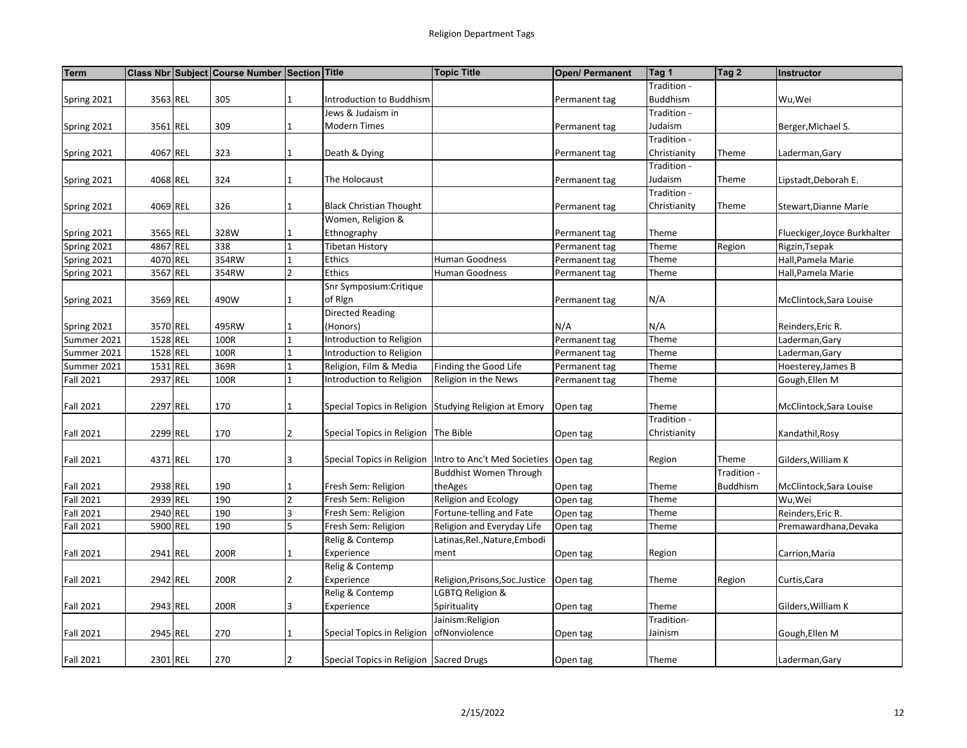| <b>Term</b>      |          | Class Nbr Subject Course Number Section Title |                          |                                         | <b>Topic Title</b>                                    | Open/ Permanent | Tag 1           | Tag 2           | Instructor                   |
|------------------|----------|-----------------------------------------------|--------------------------|-----------------------------------------|-------------------------------------------------------|-----------------|-----------------|-----------------|------------------------------|
|                  |          |                                               |                          |                                         |                                                       |                 | Tradition -     |                 |                              |
| Spring 2021      | 3563 REL | 305                                           |                          | Introduction to Buddhism                |                                                       | Permanent tag   | <b>Buddhism</b> |                 | Wu,Wei                       |
|                  |          |                                               |                          | Jews & Judaism in                       |                                                       |                 | Tradition -     |                 |                              |
| Spring 2021      | 3561 REL | 309                                           |                          | <b>Modern Times</b>                     |                                                       | Permanent tag   | Judaism         |                 | Berger, Michael S.           |
|                  |          |                                               |                          |                                         |                                                       |                 | Tradition -     |                 |                              |
| Spring 2021      | 4067 REL | 323                                           |                          | Death & Dying                           |                                                       | Permanent tag   | Christianity    | Theme           | Laderman, Gary               |
|                  |          |                                               |                          |                                         |                                                       |                 | Tradition -     |                 |                              |
| Spring 2021      | 4068 REL | 324                                           |                          | The Holocaust                           |                                                       | Permanent tag   | Iudaism         | Theme           | Lipstadt,Deborah E.          |
|                  |          |                                               |                          |                                         |                                                       |                 | Tradition -     |                 |                              |
| Spring 2021      | 4069 REL | 326                                           |                          | <b>Black Christian Thought</b>          |                                                       | Permanent tag   | Christianity    | Theme           | Stewart, Dianne Marie        |
|                  |          |                                               |                          | Women, Religion &                       |                                                       |                 |                 |                 |                              |
| Spring 2021      | 3565 REL | 328W                                          |                          | Ethnography                             |                                                       | Permanent tag   | Theme           |                 | Flueckiger, Joyce Burkhalter |
| Spring 2021      | 4867 REL | 338                                           |                          | <b>Tibetan History</b>                  |                                                       | Permanent tag   | Theme           | Region          | Rigzin, Tsepak               |
| Spring 2021      | 4070 REL | 354RW                                         |                          | Ethics                                  | Human Goodness                                        | Permanent tag   | Theme           |                 | Hall, Pamela Marie           |
| Spring 2021      | 3567 REL | 354RW                                         | $\mathfrak{p}$           | Ethics                                  | Human Goodness                                        | Permanent tag   | Theme           |                 | Hall, Pamela Marie           |
|                  |          |                                               |                          | Snr Symposium: Critique                 |                                                       |                 |                 |                 |                              |
| Spring 2021      | 3569 REL | 490W                                          |                          | of Rign                                 |                                                       | Permanent tag   | N/A             |                 | McClintock, Sara Louise      |
|                  |          |                                               |                          | <b>Directed Reading</b>                 |                                                       |                 |                 |                 |                              |
| Spring 2021      | 3570 REL | 495RW                                         |                          | (Honors)                                |                                                       | N/A             | N/A             |                 | Reinders, Eric R.            |
| Summer 2021      | 1528 REL | 100R                                          |                          | Introduction to Religion                |                                                       | Permanent tag   | Theme           |                 | Laderman, Gary               |
| Summer 2021      | 1528 REL | 100R                                          |                          | Introduction to Religion                |                                                       | Permanent tag   | Theme           |                 | Laderman, Gary               |
| Summer 2021      | 1531 REL | 369R                                          |                          | Religion, Film & Media                  | Finding the Good Life                                 | Permanent tag   | Theme           |                 | Hoesterey, James B           |
| <b>Fall 2021</b> | 2937 REL | 100R                                          |                          | Introduction to Religion                | Religion in the News                                  | Permanent tag   | Theme           |                 | Gough, Ellen M               |
|                  |          |                                               |                          |                                         |                                                       |                 |                 |                 |                              |
| <b>Fall 2021</b> | 2297 REL | 170                                           |                          |                                         | Special Topics in Religion Studying Religion at Emory | Open tag        | Theme           |                 | McClintock, Sara Louise      |
|                  |          |                                               |                          |                                         |                                                       |                 | Tradition -     |                 |                              |
| <b>Fall 2021</b> | 2299 REL | 170                                           | 2                        | Special Topics in Religion   The Bible  |                                                       | Open tag        | Christianity    |                 | Kandathil, Rosy              |
|                  |          |                                               |                          |                                         |                                                       |                 |                 |                 |                              |
| <b>Fall 2021</b> | 4371 REL | 170                                           | 3                        | Special Topics in Religion              | Intro to Anc't Med Societies                          | Open tag        | Region          | Theme           | Gilders, William K           |
|                  |          |                                               |                          |                                         | <b>Buddhist Women Through</b>                         |                 |                 | Tradition -     |                              |
| Fall 2021        | 2938 REL | 190                                           |                          | Fresh Sem: Religion                     | theAges                                               | Open tag        | Theme           | <b>Buddhism</b> | McClintock, Sara Louise      |
| Fall 2021        | 2939 REL | 190                                           | $\overline{\phantom{a}}$ | Fresh Sem: Religion                     | Religion and Ecology                                  | Open tag        | Theme           |                 | Wu,Wei                       |
| Fall 2021        | 2940 REL | 190                                           |                          | Fresh Sem: Religion                     | Fortune-telling and Fate                              | Open tag        | Theme           |                 | Reinders, Eric R.            |
| Fall 2021        | 5900 REL | 190                                           | 5                        | Fresh Sem: Religion                     | Religion and Everyday Life                            | Open tag        | Theme           |                 | Premawardhana, Devaka        |
|                  |          |                                               |                          | Relig & Contemp                         | Latinas, Rel., Nature, Embodi                         |                 |                 |                 |                              |
| <b>Fall 2021</b> | 2941 REL | 200R                                          |                          | Experience                              | ment                                                  | Open tag        | Region          |                 | Carrion,Maria                |
|                  |          |                                               |                          | Relig & Contemp                         |                                                       |                 |                 |                 |                              |
| Fall 2021        | 2942 REL | 200R                                          |                          | Experience                              | Religion, Prisons, Soc. Justice                       | Open tag        | Theme           | Region          | Curtis, Cara                 |
|                  |          |                                               |                          | Relig & Contemp                         | LGBTQ Religion &                                      |                 |                 |                 |                              |
| Fall 2021        | 2943 REL | 200R                                          | 3                        | Experience                              | Spirituality                                          | Open tag        | Theme           |                 | Gilders, William K           |
|                  |          |                                               |                          |                                         | Jainism:Religion                                      |                 | Tradition-      |                 |                              |
| <b>Fall 2021</b> | 2945 REL | 270                                           |                          | Special Topics in Religion              | ofNonviolence                                         | Open tag        | Jainism         |                 | Gough, Ellen M               |
|                  |          |                                               |                          |                                         |                                                       |                 |                 |                 |                              |
| <b>Fall 2021</b> | 2301 REL | 270                                           |                          | Special Topics in Religion Sacred Drugs |                                                       | Open tag        | Theme           |                 | Laderman, Gary               |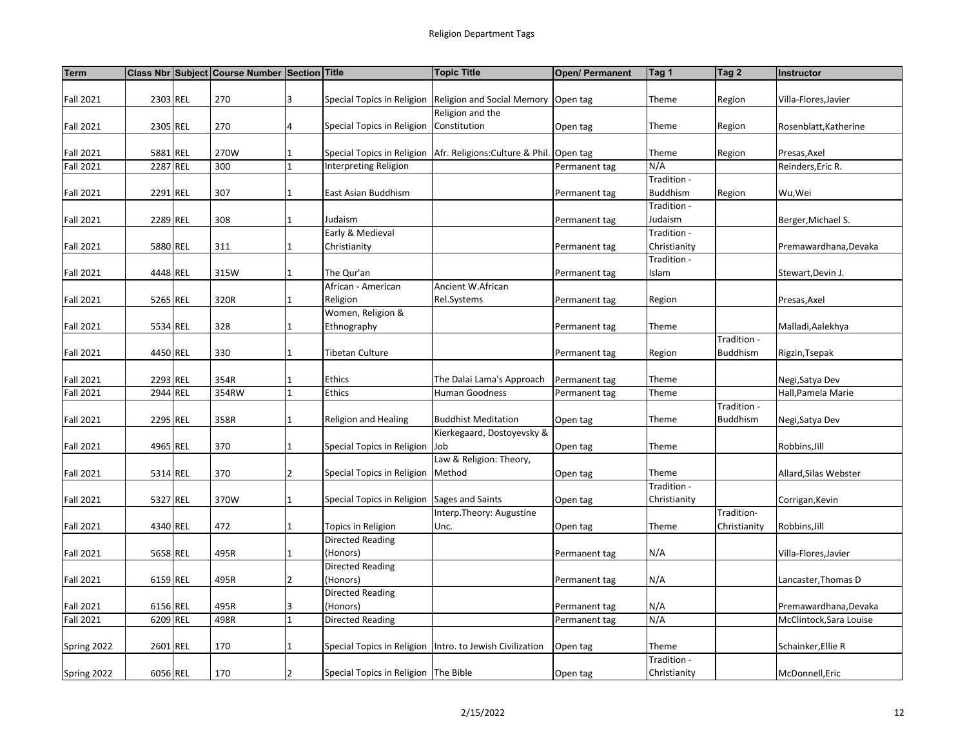| <b>Term</b>      |          | Class Nbr Subject Course Number Section Title |                |                                             | <b>Topic Title</b>                                           | <b>Open/ Permanent</b> | Tag 1           | Tag 2           | <b>Instructor</b>       |
|------------------|----------|-----------------------------------------------|----------------|---------------------------------------------|--------------------------------------------------------------|------------------------|-----------------|-----------------|-------------------------|
|                  |          |                                               |                |                                             |                                                              |                        |                 |                 |                         |
| <b>Fall 2021</b> | 2303 REL | 270                                           | 3              |                                             | Special Topics in Religion   Religion and Social Memory      | Open tag               | Theme           | Region          | Villa-Flores, Javier    |
|                  |          |                                               |                |                                             | Religion and the                                             |                        |                 |                 |                         |
| <b>Fall 2021</b> | 2305 REL | 270                                           | 4              | Special Topics in Religion Constitution     |                                                              | Open tag               | Theme           | Region          | Rosenblatt, Katherine   |
|                  |          |                                               |                |                                             |                                                              |                        |                 |                 |                         |
| <b>Fall 2021</b> | 5881 REL | 270W                                          | $\mathbf{1}$   |                                             | Special Topics in Religion   Afr. Religions: Culture & Phil. | Open tag               | Theme           | Region          | Presas, Axel            |
| <b>Fall 2021</b> | 2287 REL | 300                                           | $\mathbf{1}$   | Interpreting Religion                       |                                                              | Permanent tag          | N/A             |                 | Reinders, Eric R.       |
|                  |          |                                               |                |                                             |                                                              |                        | Tradition -     |                 |                         |
| <b>Fall 2021</b> | 2291 REL | 307                                           | 1              | East Asian Buddhism                         |                                                              | Permanent tag          | <b>Buddhism</b> | Region          | Wu,Wei                  |
|                  |          |                                               |                |                                             |                                                              |                        | Tradition -     |                 |                         |
| <b>Fall 2021</b> | 2289 REL | 308                                           | $\mathbf{1}$   | Judaism                                     |                                                              | Permanent tag          | Judaism         |                 | Berger, Michael S.      |
|                  |          |                                               |                | Early & Medieval                            |                                                              |                        | Tradition -     |                 |                         |
| <b>Fall 2021</b> | 5880 REL | 311                                           | $\mathbf{1}$   | Christianity                                |                                                              | Permanent tag          | Christianity    |                 | Premawardhana, Devaka   |
|                  |          |                                               |                |                                             |                                                              |                        | Tradition -     |                 |                         |
| <b>Fall 2021</b> | 4448 REL | 315W                                          | $\mathbf{1}$   | The Qur'an                                  |                                                              | Permanent tag          | Islam           |                 | Stewart, Devin J.       |
|                  |          |                                               |                | African - American                          | Ancient W.African                                            |                        |                 |                 |                         |
| <b>Fall 2021</b> | 5265 REL | 320R                                          | $\mathbf{1}$   | Religion                                    | Rel.Systems                                                  | Permanent tag          | Region          |                 | Presas, Axel            |
|                  |          |                                               |                | Women, Religion &                           |                                                              |                        |                 |                 |                         |
| <b>Fall 2021</b> | 5534 REL | 328                                           | 1              | Ethnography                                 |                                                              | Permanent tag          | Theme           |                 | Malladi, Aalekhya       |
|                  |          |                                               |                |                                             |                                                              |                        |                 | Tradition -     |                         |
| <b>Fall 2021</b> | 4450 REL | 330                                           | $\mathbf{1}$   | Tibetan Culture                             |                                                              | Permanent tag          | Region          | <b>Buddhism</b> | Rigzin, Tsepak          |
|                  |          |                                               |                |                                             |                                                              |                        |                 |                 |                         |
| <b>Fall 2021</b> | 2293 REL | 354R                                          | $\mathbf{1}$   | Ethics                                      | The Dalai Lama's Approach                                    | Permanent tag          | Theme           |                 | Negi, Satya Dev         |
| <b>Fall 2021</b> | 2944 REL | 354RW                                         | $\mathbf{1}$   | Ethics                                      | Human Goodness                                               | Permanent tag          | Theme           |                 | Hall, Pamela Marie      |
|                  |          |                                               |                |                                             |                                                              |                        |                 | Tradition -     |                         |
| <b>Fall 2021</b> | 2295 REL | 358R                                          | $\mathbf{1}$   | <b>Religion and Healing</b>                 | <b>Buddhist Meditation</b>                                   | Open tag               | Theme           | <b>Buddhism</b> | Negi, Satya Dev         |
|                  |          |                                               |                |                                             | Kierkegaard, Dostoyevsky &                                   |                        |                 |                 |                         |
| <b>Fall 2021</b> | 4965 REL | 370                                           | $\mathbf{1}$   | Special Topics in Religion Job              |                                                              | Open tag               | Theme           |                 | Robbins, Jill           |
|                  |          |                                               |                |                                             | Law & Religion: Theory,                                      |                        |                 |                 |                         |
| <b>Fall 2021</b> | 5314 REL | 370                                           | $\overline{2}$ | Special Topics in Religion   Method         |                                                              | Open tag               | Theme           |                 | Allard, Silas Webster   |
|                  |          |                                               |                |                                             |                                                              |                        | Tradition -     |                 |                         |
| <b>Fall 2021</b> | 5327 REL | 370W                                          | $\mathbf{1}$   | Special Topics in Religion Sages and Saints |                                                              | Open tag               | Christianity    |                 | Corrigan, Kevin         |
|                  |          |                                               |                |                                             | Interp.Theory: Augustine                                     |                        |                 | Tradition-      |                         |
| <b>Fall 2021</b> | 4340 REL | 472                                           | 1              | Topics in Religion                          | Unc.                                                         | Open tag               | Theme           | Christianity    | Robbins, Jill           |
|                  |          |                                               |                | <b>Directed Reading</b>                     |                                                              |                        |                 |                 |                         |
| <b>Fall 2021</b> | 5658 REL | 495R                                          | 1              | (Honors)                                    |                                                              | Permanent tag          | N/A             |                 | Villa-Flores, Javier    |
|                  |          |                                               |                | <b>Directed Reading</b>                     |                                                              |                        |                 |                 |                         |
| <b>Fall 2021</b> | 6159 REL | 495R                                          | $\overline{2}$ | (Honors)                                    |                                                              | Permanent tag          | N/A             |                 | Lancaster, Thomas D     |
|                  |          |                                               |                | <b>Directed Reading</b>                     |                                                              |                        |                 |                 |                         |
| <b>Fall 2021</b> | 6156 REL | 495R                                          | 3              | (Honors)                                    |                                                              | Permanent tag          | N/A             |                 | Premawardhana, Devaka   |
| <b>Fall 2021</b> | 6209 REL | 498R                                          | $\mathbf{1}$   | <b>Directed Reading</b>                     |                                                              | Permanent tag          | N/A             |                 | McClintock, Sara Louise |
|                  |          |                                               |                |                                             |                                                              |                        |                 |                 |                         |
| Spring 2022      | 2601 REL | 170                                           | $\mathbf{1}$   |                                             | Special Topics in Religion Intro. to Jewish Civilization     | Open tag               | Theme           |                 | Schainker, Ellie R      |
|                  |          |                                               |                |                                             |                                                              |                        | Tradition -     |                 |                         |
| Spring 2022      | 6056 REL | 170                                           | $\overline{2}$ | Special Topics in Religion   The Bible      |                                                              | Open tag               | Christianity    |                 | McDonnell, Eric         |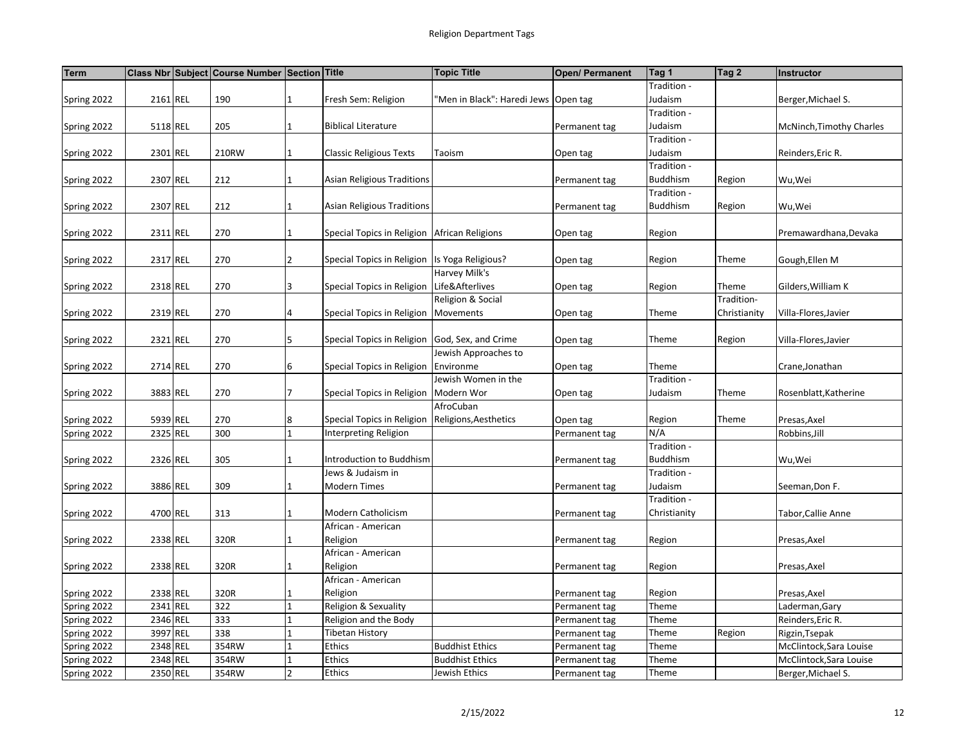| <b>Term</b> |          | Class Nbr Subject Course Number Section Title |                |                                                  | <b>Topic Title</b>                     | Open/ Permanent | Tag 1                   | Tag 2        | Instructor               |
|-------------|----------|-----------------------------------------------|----------------|--------------------------------------------------|----------------------------------------|-----------------|-------------------------|--------------|--------------------------|
|             |          |                                               |                |                                                  |                                        |                 | Tradition -             |              |                          |
| Spring 2022 | 2161 REL | 190                                           | $\mathbf{1}$   | Fresh Sem: Religion                              | 'Men in Black": Haredi Jews   Open tag |                 | Judaism                 |              | Berger, Michael S.       |
|             |          |                                               |                |                                                  |                                        |                 | Tradition -             |              |                          |
| Spring 2022 | 5118 REL | 205                                           | $\mathbf{1}$   | <b>Biblical Literature</b>                       |                                        | Permanent tag   | Judaism                 |              | McNinch, Timothy Charles |
|             |          |                                               |                |                                                  |                                        |                 | Tradition -             |              |                          |
| Spring 2022 | 2301 REL | 210RW                                         | $\mathbf{1}$   | <b>Classic Religious Texts</b>                   | Taoism                                 | Open tag        | Judaism                 |              | Reinders, Eric R.        |
|             |          |                                               |                |                                                  |                                        |                 | Tradition -             |              |                          |
| Spring 2022 | 2307 REL | 212                                           | 1              | <b>Asian Religious Traditions</b>                |                                        | Permanent tag   | Buddhism                | Region       | Wu,Wei                   |
|             |          |                                               |                |                                                  |                                        |                 | Tradition -             |              |                          |
| Spring 2022 | 2307 REL | 212                                           | $\mathbf{1}$   | <b>Asian Religious Traditions</b>                |                                        | Permanent tag   | <b>Buddhism</b>         | Region       | Wu,Wei                   |
|             |          |                                               |                |                                                  |                                        |                 |                         |              |                          |
| Spring 2022 | 2311 REL | 270                                           | $\mathbf{1}$   | Special Topics in Religion African Religions     |                                        | Open tag        | Region                  |              | Premawardhana, Devaka    |
|             |          |                                               |                |                                                  |                                        |                 |                         |              |                          |
| Spring 2022 | 2317 REL | 270                                           | $\overline{2}$ | Special Topics in Religion   Is Yoga Religious?  |                                        | Open tag        | Region                  | Theme        | Gough, Ellen M           |
|             |          |                                               |                |                                                  | Harvey Milk's                          |                 |                         |              |                          |
| Spring 2022 | 2318 REL | 270                                           | 3              | Special Topics in Religion Life&Afterlives       |                                        | Open tag        | Region                  | Theme        | Gilders, William K       |
|             |          |                                               |                |                                                  | Religion & Social                      |                 |                         | Tradition-   |                          |
| Spring 2022 | 2319 REL | 270                                           | 4              | Special Topics in Religion   Movements           |                                        | Open tag        | Theme                   | Christianity | Villa-Flores, Javier     |
|             |          |                                               |                |                                                  |                                        |                 |                         |              |                          |
| Spring 2022 | 2321 REL | 270                                           | 5              | Special Topics in Religion God, Sex, and Crime   |                                        | Open tag        | Theme                   | Region       | Villa-Flores, Javier     |
|             |          |                                               |                |                                                  | Jewish Approaches to                   |                 |                         |              |                          |
| Spring 2022 | 2714 REL | 270                                           | 6              | Special Topics in Religion                       | Environme                              | Open tag        | Theme                   |              | Crane, Jonathan          |
|             |          |                                               |                |                                                  | Jewish Women in the                    |                 | Tradition -             |              |                          |
| Spring 2022 | 3883 REL | 270                                           | 7              | Special Topics in Religion   Modern Wor          |                                        | Open tag        | Judaism                 | Theme        | Rosenblatt, Katherine    |
|             |          |                                               |                |                                                  | AfroCuban                              |                 |                         |              |                          |
| Spring 2022 | 5939 REL | 270                                           | 8              | Special Topics in Religion Religions, Aesthetics |                                        | Open tag        | Region                  | Theme        | Presas, Axel             |
| Spring 2022 | 2325 REL | 300                                           | $\mathbf{1}$   | <b>Interpreting Religion</b>                     |                                        | Permanent tag   | N/A                     |              | Robbins, Jill            |
|             |          |                                               |                |                                                  |                                        |                 | Tradition -             |              |                          |
| Spring 2022 | 2326 REL | 305                                           | 1              | Introduction to Buddhism                         |                                        | Permanent tag   | Buddhism<br>Tradition - |              | Wu, Wei                  |
|             |          |                                               | $\mathbf 1$    | Jews & Judaism in                                |                                        |                 |                         |              |                          |
| Spring 2022 | 3886 REL | 309                                           |                | <b>Modern Times</b>                              |                                        | Permanent tag   | Judaism<br>Tradition -  |              | Seeman, Don F.           |
|             | 4700 REL | 313                                           | $\mathbf{1}$   | Modern Catholicism                               |                                        |                 | Christianity            |              |                          |
| Spring 2022 |          |                                               |                | African - American                               |                                        | Permanent tag   |                         |              | Tabor, Callie Anne       |
|             | 2338 REL | 320R                                          | $\mathbf{1}$   | Religion                                         |                                        |                 | Region                  |              |                          |
| Spring 2022 |          |                                               |                | African - American                               |                                        | Permanent tag   |                         |              | Presas, Axel             |
| Spring 2022 | 2338 REL | 320R                                          | 1              | Religion                                         |                                        | Permanent tag   | Region                  |              | Presas, Axel             |
|             |          |                                               |                | African - American                               |                                        |                 |                         |              |                          |
| Spring 2022 | 2338 REL | 320R                                          | $\mathbf{1}$   | Religion                                         |                                        | Permanent tag   | Region                  |              | Presas, Axel             |
| Spring 2022 | 2341 REL | 322                                           | 1              | Religion & Sexuality                             |                                        | Permanent tag   | Theme                   |              | Laderman, Gary           |
| Spring 2022 | 2346 REL | 333                                           | $\mathbf{1}$   | Religion and the Body                            |                                        | Permanent tag   | Theme                   |              | Reinders, Eric R.        |
| Spring 2022 | 3997 REL | 338                                           | $\mathbf{1}$   | Tibetan History                                  |                                        | Permanent tag   | Theme                   | Region       | Rigzin, Tsepak           |
| Spring 2022 | 2348 REL | 354RW                                         | $\mathbf{1}$   | Ethics                                           | <b>Buddhist Ethics</b>                 | Permanent tag   | Theme                   |              | McClintock, Sara Louise  |
| Spring 2022 | 2348 REL | 354RW                                         | $\mathbf{1}$   | Ethics                                           | <b>Buddhist Ethics</b>                 | Permanent tag   | Theme                   |              | McClintock, Sara Louise  |
| Spring 2022 | 2350 REL | 354RW                                         | $\overline{2}$ | Ethics                                           | Jewish Ethics                          | Permanent tag   | Theme                   |              | Berger, Michael S.       |